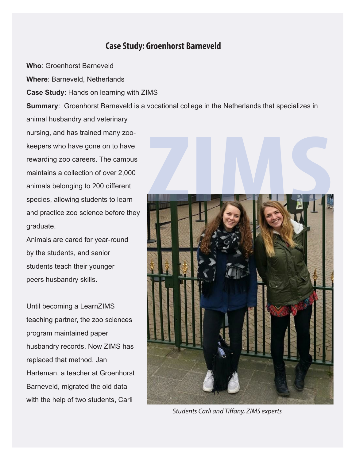## **Case Study: Groenhorst Barneveld**

**Who**: Groenhorst Barneveld

**Where**: Barneveld, Netherlands

**Case Study**: Hands on learning with ZIMS

**Summary**: Groenhorst Barneveld is a vocational college in the Netherlands that specializes in animal husbandry and veterinary

nursing, and has trained many zookeepers who have gone on to have rewarding zoo careers. The campus maintains a collection of over 2,000 animals belonging to 200 different species, allowing students to learn and practice zoo science before they graduate.

Animals are cared for year-round by the students, and senior students teach their younger peers husbandry skills.

Until becoming a LearnZIMS teaching partner, the zoo sciences program maintained paper husbandry records. Now ZIMS has replaced that method. Jan Harteman, a teacher at Groenhorst Barneveld, migrated the old data with the help of two students, Carli



**Students Carli and Tiffany, ZIMS experts**